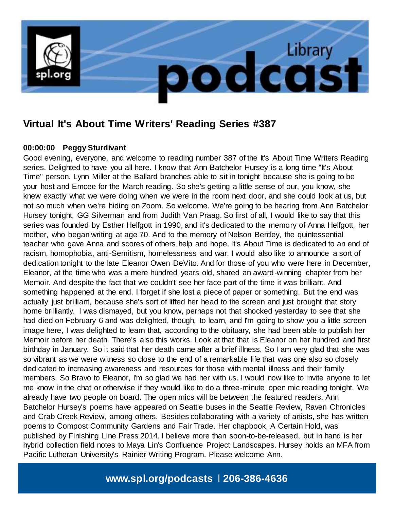

# **Virtual It's About Time Writers' Reading Series #387**

### **00:00:00 Peggy Sturdivant**

Good evening, everyone, and welcome to reading number 387 of the It's About Time Writers Reading series. Delighted to have you all here. I know that Ann Batchelor Hursey is a long time "It's About Time" person. Lynn Miller at the Ballard branches able to sit in tonight because she is going to be your host and Emcee for the March reading. So she's getting a little sense of our, you know, she knew exactly what we were doing when we were in the room next door, and she could look at us, but not so much when we're hiding on Zoom. So welcome. We're going to be hearing from Ann Batchelor Hursey tonight, GG Silverman and from Judith Van Praag. So first of all, I would like to say that this series was founded by Esther Helfgott in 1990, and it's dedicated to the memory of Anna Helfgott, her mother, who began writing at age 70. And to the memory of Nelson Bentley, the quintessential teacher who gave Anna and scores of others help and hope. It's About Time is dedicated to an end of racism, homophobia, anti-Semitism, homelessness and war. I would also like to announce a sort of dedication tonight to the late Eleanor Owen DeVito. And for those of you who were here in December, Eleanor, at the time who was a mere hundred years old, shared an award-winning chapter from her Memoir. And despite the fact that we couldn't see her face part of the time it was brilliant. And something happened at the end. I forget if she lost a piece of paper or something. But the end was actually just brilliant, because she's sort of lifted her head to the screen and just brought that story home brilliantly. I was dismayed, but you know, perhaps not that shocked yesterday to see that she had died on February 6 and was delighted, though, to learn, and I'm going to show you a little screen image here, I was delighted to learn that, according to the obituary, she had been able to publish her Memoir before her death. There's also this works. Look at that that is Eleanor on her hundred and first birthday in January. So it said that her death came after a brief illness. So I am very glad that she was so vibrant as we were witness so close to the end of a remarkable life that was one also so closely dedicated to increasing awareness and resources for those with mental illness and their family members. So Bravo to Eleanor, I'm so glad we had her with us. I would now like to invite anyone to let me know in the chat or otherwise if they would like to do a three-minute open mic reading tonight. We already have two people on board. The open mics will be between the featured readers. Ann Batchelor Hursey's poems have appeared on Seattle buses in the Seattle Review, Raven Chronicles and Crab Creek Review, among others. Besides collaborating with a variety of artists, she has written poems to Compost Community Gardens and Fair Trade. Her chapbook, A Certain Hold, was published by Finishing Line Press 2014. I believe more than soon-to-be-released, but in hand is her hybrid collection field notes to Maya Lin's Confluence Project Landscapes. Hursey holds an MFA from Pacific Lutheran University's Rainier Writing Program. Please welcome Ann.

# **www.spl.org/podcasts** l **206-386-4636**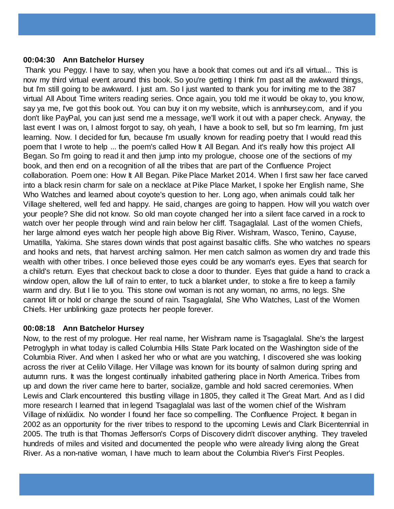#### **00:04:30 Ann Batchelor Hursey**

Thank you Peggy. I have to say, when you have a book that comes out and it's all virtual... This is now my third virtual event around this book. So you're getting I think I'm past all the awkward things, but I'm still going to be awkward. I just am. So I just wanted to thank you for inviting me to the 387 virtual All About Time writers reading series. Once again, you told me it would be okay to, you know, say ya me, I've got this book out. You can buy it on my website, which is annhursey.com, and if you don't like PayPal, you can just send me a message, we'll work it out with a paper check. Anyway, the last event I was on, I almost forgot to say, oh yeah, I have a book to sell, but so I'm learning, I'm just learning. Now. I decided for fun, because I'm usually known for reading poetry that I would read this poem that I wrote to help ... the poem's called How It All Began. And it's really how this project All Began. So I'm going to read it and then jump into my prologue, choose one of the sections of my book, and then end on a recognition of all the tribes that are part of the Confluence Project collaboration. Poem one: How It All Began. Pike Place Market 2014. When I first saw her face carved into a black resin charm for sale on a necklace at Pike Place Market, I spoke her English name, She Who Watches and learned about coyote's question to her. Long ago, when animals could talk her Village sheltered, well fed and happy. He said, changes are going to happen. How will you watch over your people? She did not know. So old man coyote changed her into a silent face carved in a rock to watch over her people through wind and rain below her cliff. Tsagaglalal. Last of the women Chiefs, her large almond eyes watch her people high above Big River. Wishram, Wasco, Tenino, Cayuse, Umatilla, Yakima. She stares down winds that post against basaltic cliffs. She who watches no spears and hooks and nets, that harvest arching salmon. Her men catch salmon as women dry and trade this wealth with other tribes. I once believed those eyes could be any woman's eyes. Eyes that search for a child's return. Eyes that checkout back to close a door to thunder. Eyes that guide a hand to crack a window open, allow the lull of rain to enter, to tuck a blanket under, to stoke a fire to keep a family warm and dry. But I lie to you. This stone owl woman is not any woman, no arms, no legs. She cannot lift or hold or change the sound of rain. Tsagaglalal, She Who Watches, Last of the Women Chiefs. Her unblinking gaze protects her people forever.

### **00:08:18 Ann Batchelor Hursey**

Now, to the rest of my prologue. Her real name, her Wishram name is Tsagaglalal. She's the largest Petroglyph in what today is called Columbia Hills State Park located on the Washington side of the Columbia River. And when I asked her who or what are you watching, I discovered she was looking across the river at Celilo Village. Her Village was known for its bounty of salmon during spring and autumn runs. It was the longest continually inhabited gathering place in North America. Tribes from up and down the river came here to barter, socialize, gamble and hold sacred ceremonies. When Lewis and Clark encountered this bustling village in 1805, they called it The Great Mart. And as I did more research I learned that in legend Tsagaglalal was last of the women chief of the Wishram Village of nixlúidix. No wonder I found her face so compelling. The Confluence Project. It began in 2002 as an opportunity for the river tribes to respond to the upcoming Lewis and Clark Bicentennial in 2005. The truth is that Thomas Jefferson's Corps of Discovery didn't discover anything. They traveled hundreds of miles and visited and documented the people who were already living along the Great River. As a non-native woman, I have much to learn about the Columbia River's First Peoples.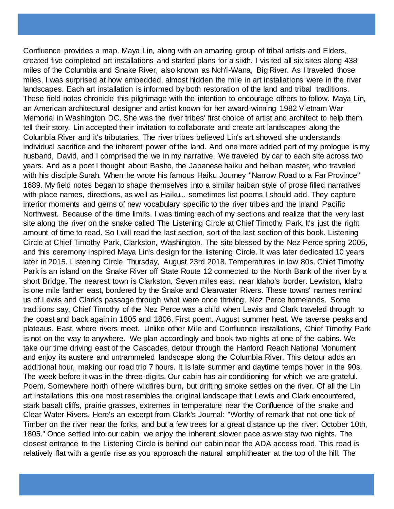Confluence provides a map. Maya Lin, along with an amazing group of tribal artists and Elders, created five completed art installations and started plans for a sixth. I visited all six sites along 438 miles of the Columbia and Snake River, also known as Nch'i-Wana, Big River. As I traveled those miles, I was surprised at how embedded, almost hidden the mile in art installations were in the river landscapes. Each art installation is informed by both restoration of the land and tribal traditions. These field notes chronicle this pilgrimage with the intention to encourage others to follow. Maya Lin, an American architectural designer and artist known for her award-winning 1982 Vietnam War Memorial in Washington DC. She was the river tribes' first choice of artist and architect to help them tell their story. Lin accepted their invitation to collaborate and create art landscapes along the Columbia River and it's tributaries. The river tribes believed Lin's art showed she understands individual sacrifice and the inherent power of the land. And one more added part of my prologue is my husband, David, and I comprised the we in my narrative. We traveled by car to each site across two years. And as a poet I thought about Basho, the Japanese haiku and heiban master, who traveled with his disciple Surah. When he wrote his famous Haiku Journey "Narrow Road to a Far Province" 1689. My field notes began to shape themselves into a similar haiban style of prose filled narratives with place names, directions, as well as Haiku... sometimes list poems I should add. They capture interior moments and gems of new vocabulary specific to the river tribes and the Inland Pacific Northwest. Because of the time limits. I was timing each of my sections and realize that the very last site along the river on the snake called The Listening Circle at Chief Timothy Park. It's just the right amount of time to read. So I will read the last section, sort of the last section of this book. Listening Circle at Chief Timothy Park, Clarkston, Washington. The site blessed by the Nez Perce spring 2005, and this ceremony inspired Maya Lin's design for the listening Circle. It was later dedicated 10 years later in 2015. Listening Circle, Thursday, August 23rd 2018. Temperatures in low 80s. Chief Timothy Park is an island on the Snake River off State Route 12 connected to the North Bank of the river by a short Bridge. The nearest town is Clarkston. Seven miles east. near Idaho's border. Lewiston, Idaho is one mile farther east, bordered by the Snake and Clearwater Rivers. These towns' names remind us of Lewis and Clark's passage through what were once thriving, Nez Perce homelands. Some traditions say, Chief Timothy of the Nez Perce was a child when Lewis and Clark traveled through to the coast and back again in 1805 and 1806. First poem. August summer heat. We taverse peaks and plateaus. East, where rivers meet. Unlike other Mile and Confluence installations, Chief Timothy Park is not on the way to anywhere. We plan accordingly and book two nights at one of the cabins. We take our time driving east of the Cascades, detour through the Hanford Reach National Monument and enjoy its austere and untrammeled landscape along the Columbia River. This detour adds an additional hour, making our road trip 7 hours. It is late summer and daytime temps hover in the 90s. The week before it was in the three digits. Our cabin has air conditioning for which we are grateful. Poem. Somewhere north of here wildfires burn, but drifting smoke settles on the river. Of all the Lin art installations this one most resembles the original landscape that Lewis and Clark encountered, stark basalt cliffs, prairie grasses, extremes in temperature near the Confluence of the snake and Clear Water Rivers. Here's an excerpt from Clark's Journal: "Worthy of remark that not one tick of Timber on the river near the forks, and but a few trees for a great distance up the river. October 10th, 1805." Once settled into our cabin, we enjoy the inherent slower pace as we stay two nights. The closest entrance to the Listening Circle is behind our cabin near the ADA access road. This road is relatively flat with a gentle rise as you approach the natural amphitheater at the top of the hill. The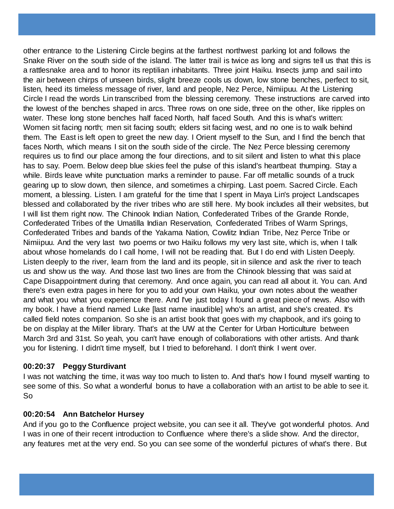other entrance to the Listening Circle begins at the farthest northwest parking lot and follows the Snake River on the south side of the island. The latter trail is twice as long and signs tell us that this is a rattlesnake area and to honor its reptilian inhabitants. Three joint Haiku. Insects jump and sail into the air between chirps of unseen birds, slight breeze cools us down, low stone benches, perfect to sit, listen, heed its timeless message of river, land and people, Nez Perce, Nimiipuu. At the Listening Circle I read the words Lin transcribed from the blessing ceremony. These instructions are carved into the lowest of the benches shaped in arcs. Three rows on one side, three on the other, like ripples on water. These long stone benches half faced North, half faced South. And this is what's written: Women sit facing north; men sit facing south; elders sit facing west, and no one is to walk behind them. The East is left open to greet the new day. I Orient myself to the Sun, and I find the bench that faces North, which means I sit on the south side of the circle. The Nez Perce blessing ceremony requires us to find our place among the four directions, and to sit silent and listen to what this place has to say. Poem. Below deep blue skies feel the pulse of this island's heartbeat thumping. Stay a while. Birds leave white punctuation marks a reminder to pause. Far off metallic sounds of a truck gearing up to slow down, then silence, and sometimes a chirping. Last poem. Sacred Circle. Each moment, a blessing. Listen. I am grateful for the time that I spent in Maya Lin's project Landscapes blessed and collaborated by the river tribes who are still here. My book includes all their websites, but I will list them right now. The Chinook Indian Nation, Confederated Tribes of the Grande Ronde, Confederated Tribes of the Umatilla Indian Reservation, Confederated Tribes of Warm Springs, Confederated Tribes and bands of the Yakama Nation, Cowlitz Indian Tribe, Nez Perce Tribe or Nimiipuu. And the very last two poems or two Haiku follows my very last site, which is, when I talk about whose homelands do I call home, I will not be reading that. But I do end with Listen Deeply. Listen deeply to the river, learn from the land and its people, sit in silence and ask the river to teach us and show us the way. And those last two lines are from the Chinook blessing that was said at Cape Disappointment during that ceremony. And once again, you can read all about it. You can. And there's even extra pages in here for you to add your own Haiku, your own notes about the weather and what you what you experience there. And I've just today I found a great piece of news. Also with my book. I have a friend named Luke [last name inaudible] who's an artist, and she's created. It's called field notes companion. So she is an artist book that goes with my chapbook, and it's going to be on display at the Miller library. That's at the UW at the Center for Urban Horticulture between March 3rd and 31st. So yeah, you can't have enough of collaborations with other artists. And thank you for listening. I didn't time myself, but I tried to beforehand. I don't think I went over.

### **00:20:37 Peggy Sturdivant**

I was not watching the time, it was way too much to listen to. And that's how I found myself wanting to see some of this. So what a wonderful bonus to have a collaboration with an artist to be able to see it. So

#### **00:20:54 Ann Batchelor Hursey**

And if you go to the Confluence project website, you can see it all. They've got wonderful photos. And I was in one of their recent introduction to Confluence where there's a slide show. And the director, any features met at the very end. So you can see some of the wonderful pictures of what's there. But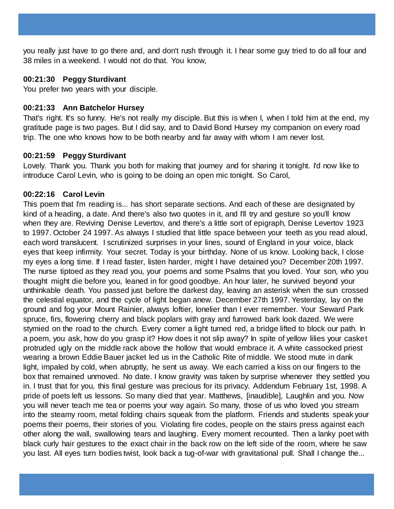you really just have to go there and, and don't rush through it. I hear some guy tried to do all four and 38 miles in a weekend. I would not do that. You know,

### **00:21:30 Peggy Sturdivant**

You prefer two years with your disciple.

#### **00:21:33 Ann Batchelor Hursey**

That's right. It's so funny. He's not really my disciple. But this is when I, when I told him at the end, my gratitude page is two pages. But I did say, and to David Bond Hursey my companion on every road trip. The one who knows how to be both nearby and far away with whom I am never lost.

#### **00:21:59 Peggy Sturdivant**

Lovely. Thank you. Thank you both for making that journey and for sharing it tonight. I'd now like to introduce Carol Levin, who is going to be doing an open mic tonight. So Carol,

#### **00:22:16 Carol Levin**

This poem that I'm reading is... has short separate sections. And each of these are designated by kind of a heading, a date. And there's also two quotes in it, and I'll try and gesture so you'll know when they are. Reviving Denise Levertov, and there's a little sort of epigraph, Denise Levertov 1923 to 1997. October 24 1997. As always I studied that little space between your teeth as you read aloud, each word translucent. I scrutinized surprises in your lines, sound of England in your voice, black eyes that keep infirmity. Your secret. Today is your birthday. None of us know. Looking back, I close my eyes a long time. If I read faster, listen harder, might I have detained you? December 20th 1997. The nurse tiptoed as they read you, your poems and some Psalms that you loved. Your son, who you thought might die before you, leaned in for good goodbye. An hour later, he survived beyond your unthinkable death. You passed just before the darkest day, leaving an asterisk when the sun crossed the celestial equator, and the cycle of light began anew. December 27th 1997. Yesterday, lay on the ground and fog your Mount Rainier, always loftier, lonelier than I ever remember. Your Seward Park spruce, firs, flowering cherry and black poplars with gray and furrowed bark look dazed. We were stymied on the road to the church. Every corner a light turned red, a bridge lifted to block our path. In a poem, you ask, how do you grasp it? How does it not slip away? In spite of yellow lilies your casket protruded ugly on the middle rack above the hollow that would embrace it. A white cassocked priest wearing a brown Eddie Bauer jacket led us in the Catholic Rite of middle. We stood mute in dank light, impaled by cold, when abruptly, he sent us away. We each carried a kiss on our fingers to the box that remained unmoved. No date. I know gravity was taken by surprise whenever they settled you in. I trust that for you, this final gesture was precious for its privacy. Addendum February 1st, 1998. A pride of poets left us lessons. So many died that year. Matthews, [inaudible], Laughlin and you. Now you will never teach me tea or poems your way again. So many, those of us who loved you stream into the steamy room, metal folding chairs squeak from the platform. Friends and students speak your poems their poems, their stories of you. Violating fire codes, people on the stairs press against each other along the wall, swallowing tears and laughing. Every moment recounted. Then a lanky poet with black curly hair gestures to the exact chair in the back row on the left side of the room, where he saw you last. All eyes turn bodies twist, look back a tug-of-war with gravitational pull. Shall I change the...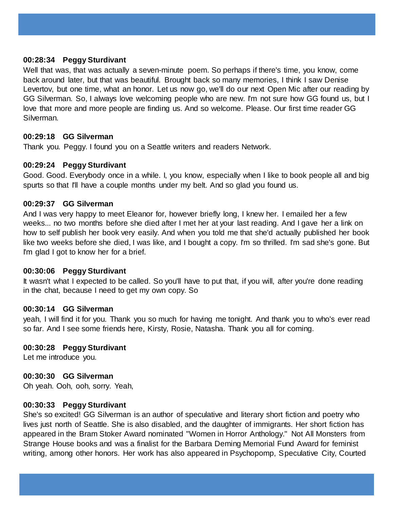#### **00:28:34 Peggy Sturdivant**

Well that was, that was actually a seven-minute poem. So perhaps if there's time, you know, come back around later, but that was beautiful. Brought back so many memories, I think I saw Denise Levertov, but one time, what an honor. Let us now go, we'll do our next Open Mic after our reading by GG Silverman. So, I always love welcoming people who are new. I'm not sure how GG found us, but I love that more and more people are finding us. And so welcome. Please. Our first time reader GG Silverman.

#### **00:29:18 GG Silverman**

Thank you. Peggy. I found you on a Seattle writers and readers Network.

#### **00:29:24 Peggy Sturdivant**

Good. Good. Everybody once in a while. I, you know, especially when I like to book people all and big spurts so that I'll have a couple months under my belt. And so glad you found us.

#### **00:29:37 GG Silverman**

And I was very happy to meet Eleanor for, however briefly long, I knew her. I emailed her a few weeks... no two months before she died after I met her at your last reading. And I gave her a link on how to self publish her book very easily. And when you told me that she'd actually published her book like two weeks before she died, I was like, and I bought a copy. I'm so thrilled. I'm sad she's gone. But I'm glad I got to know her for a brief.

#### **00:30:06 Peggy Sturdivant**

It wasn't what I expected to be called. So you'll have to put that, if you will, after you're done reading in the chat, because I need to get my own copy. So

## **00:30:14 GG Silverman**

yeah, I will find it for you. Thank you so much for having me tonight. And thank you to who's ever read so far. And I see some friends here, Kirsty, Rosie, Natasha. Thank you all for coming.

### **00:30:28 Peggy Sturdivant**

Let me introduce you.

### **00:30:30 GG Silverman**

Oh yeah. Ooh, ooh, sorry. Yeah,

#### **00:30:33 Peggy Sturdivant**

She's so excited! GG Silverman is an author of speculative and literary short fiction and poetry who lives just north of Seattle. She is also disabled, and the daughter of immigrants. Her short fiction has appeared in the Bram Stoker Award nominated "Women in Horror Anthology." Not All Monsters from Strange House books and was a finalist for the Barbara Deming Memorial Fund Award for feminist writing, among other honors. Her work has also appeared in Psychopomp, Speculative City, Courted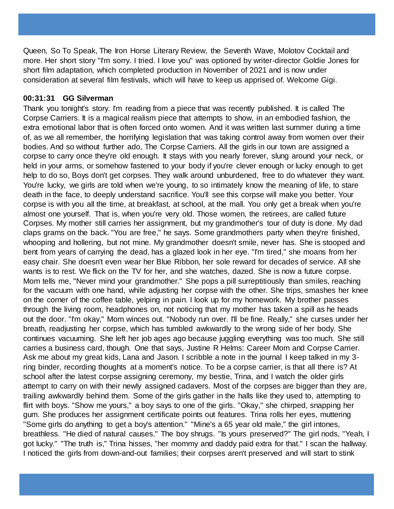Queen, So To Speak, The Iron Horse Literary Review, the Seventh Wave, Molotov Cocktail and more. Her short story "I'm sorry. I tried. I love you" was optioned by writer-director Goldie Jones for short film adaptation, which completed production in November of 2021 and is now under consideration at several film festivals, which will have to keep us apprised of. Welcome Gigi.

#### **00:31:31 GG Silverman**

Thank you tonight's story. I'm reading from a piece that was recently published. It is called The Corpse Carriers. It is a magical realism piece that attempts to show, in an embodied fashion, the extra emotional labor that is often forced onto women. And it was written last summer during a time of, as we all remember, the horrifying legislation that was taking control away from women over their bodies. And so without further ado, The Corpse Carriers. All the girls in our town are assigned a corpse to carry once they're old enough. It stays with you nearly forever, slung around your neck, or held in your arms, or somehow fastened to your body if you're clever enough or lucky enough to get help to do so, Boys don't get corpses. They walk around unburdened, free to do whatever they want. You're lucky, we girls are told when we're young, to so intimately know the meaning of life, to stare death in the face, to deeply understand sacrifice. You'll see this corpse will make you better. Your corpse is with you all the time, at breakfast, at school, at the mall. You only get a break when you're almost one yourself. That is, when you're very old. Those women, the retirees, are called future Corpses. My mother still carries her assignment, but my grandmother's tour of duty is done. My dad claps grams on the back. "You are free," he says. Some grandmothers party when they're finished, whooping and hollering, but not mine. My grandmother doesn't smile, never has. She is stooped and bent from years of carrying the dead, has a glazed look in her eye. "I'm tired," she moans from her easy chair. She doesn't even wear her Blue Ribbon, her sole reward for decades of service. All she wants is to rest. We flick on the TV for her, and she watches, dazed. She is now a future corpse. Mom tells me, "Never mind your grandmother." She pops a pill surreptitiously than smiles, reaching for the vacuum with one hand, while adjusting her corpse with the other. She trips, smashes her knee on the corner of the coffee table, yelping in pain. I look up for my homework. My brother passes through the living room, headphones on, not noticing that my mother has taken a spill as he heads out the door. "I'm okay," Mom winces out. "Nobody run over. I'll be fine. Really," she curses under her breath, readjusting her corpse, which has tumbled awkwardly to the wrong side of her body. She continues vacuuming. She left her job ages ago because juggling everything was too much. She still carries a business card, though. One that says, Justine R Helms: Career Mom and Corpse Carrier. Ask me about my great kids, Lana and Jason. I scribble a note in the journal I keep talked in my 3 ring binder, recording thoughts at a moment's notice. To be a corpse carrier, is that all there is? At school after the latest corpse assigning ceremony, my bestie, Trina, and I watch the older girls attempt to carry on with their newly assigned cadavers. Most of the corpses are bigger than they are, trailing awkwardly behind them. Some of the girls gather in the halls like they used to, attempting to flirt with boys. "Show me yours," a boy says to one of the girls. "Okay," she chirped, snapping her gum. She produces her assignment certificate points out features. Trina rolls her eyes, muttering "Some girls do anything to get a boy's attention." "Mine's a 65 year old male," the girl intones, breathless. "He died of natural causes." The boy shrugs. "Is yours preserved?" The girl nods, "Yeah, I got lucky." "The truth is," Trina hisses, "her mommy and daddy paid extra for that." I scan the hallway. I noticed the girls from down-and-out families; their corpses aren't preserved and will start to stink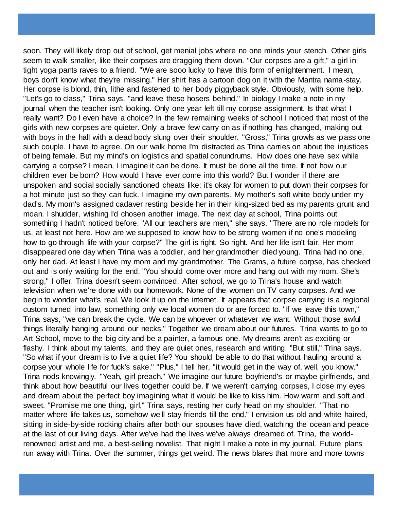soon. They will likely drop out of school, get menial jobs where no one minds your stench. Other girls seem to walk smaller, like their corpses are dragging them down. "Our corpses are a gift," a girl in tight yoga pants raves to a friend. "We are sooo lucky to have this form of enlightenment. I mean, boys don't know what they're missing." Her shirt has a cartoon dog on it with the Mantra nama-stay. Her corpse is blond, thin, lithe and fastened to her body piggyback style. Obviously, with some help. "Let's go to class," Trina says, "and leave these hosers behind." In biology I make a note in my journal when the teacher isn't looking. Only one year left till my corpse assignment. Is that what I really want? Do I even have a choice? In the few remaining weeks of school I noticed that most of the girls with new corpses are quieter. Only a brave few carry on as if nothing has changed, making out with boys in the hall with a dead body slung over their shoulder. "Gross," Trina growls as we pass one such couple. I have to agree. On our walk home I'm distracted as Trina carries on about the injustices of being female. But my mind's on logistics and spatial conundrums. How does one have sex while carrying a corpse? I mean, I imagine it can be done. It must be done all the time. If not how our children ever be born? How would I have ever come into this world? But I wonder if there are unspoken and social socially sanctioned cheats like: it's okay for women to put down their corpses for a hot minute just so they can fuck. I imagine my own parents. My mother's soft white body under my dad's. My mom's assigned cadaver resting beside her in their king-sized bed as my parents grunt and moan. I shudder, wishing I'd chosen another image. The next day at school, Trina points out something I hadn't noticed before. "All our teachers are men," she says. "There are no role models for us, at least not here. How are we supposed to know how to be strong women if no one's modeling how to go through life with your corpse?" The girl is right. So right. And her life isn't fair. Her mom disappeared one day when Trina was a toddler, and her grandmother died young. Trina had no one, only her dad. At least I have my mom and my grandmother. The Grams, a future corpse, has checked out and is only waiting for the end. "You should come over more and hang out with my mom. She's strong," I offer. Trina doesn't seem convinced. After school, we go to Trina's house and watch television when we're done with our homework. None of the women on TV carry corpses. And we begin to wonder what's real. We look it up on the internet. It appears that corpse carrying is a regional custom turned into law, something only we local women do or are forced to. "If we leave this town," Trina says, "we can break the cycle. We can be whoever or whatever we want. Without those awful things literally hanging around our necks." Together we dream about our futures. Trina wants to go to Art School, move to the big city and be a painter, a famous one. My dreams aren't as exciting or flashy. I think about my talents, and they are quiet ones, research and writing. "But still," Trina says. "So what if your dream is to live a quiet life? You should be able to do that without hauling around a corpse your whole life for fuck's sake." "Plus," I tell her, "it would get in the way of, well, you know." Trina nods knowingly. "Yeah, girl preach." We imagine our future boyfriend's or maybe girlfriends, and think about how beautiful our lives together could be. If we weren't carrying corpses, I close my eyes and dream about the perfect boy imagining what it would be like to kiss him. How warm and soft and sweet. "Promise me one thing, girl," Trina says, resting her curly head on my shoulder. "That no matter where life takes us, somehow we'll stay friends till the end." I envision us old and white-haired, sitting in side-by-side rocking chairs after both our spouses have died, watching the ocean and peace at the last of our living days. After we've had the lives we've always dreamed of. Trina, the worldrenowned artist and me, a best-selling novelist. That night I make a note in my journal. Future plans run away with Trina. Over the summer, things get weird. The news blares that more and more towns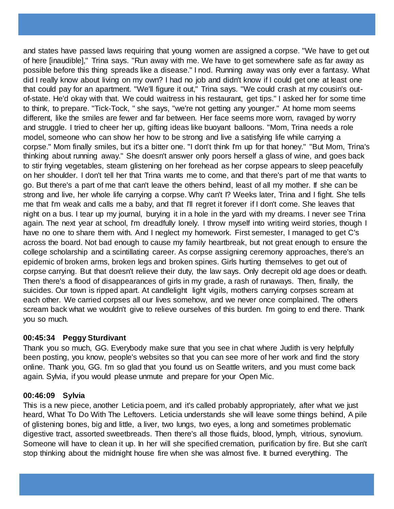and states have passed laws requiring that young women are assigned a corpse. "We have to get out of here [inaudible]," Trina says. "Run away with me. We have to get somewhere safe as far away as possible before this thing spreads like a disease." I nod. Running away was only ever a fantasy. What did I really know about living on my own? I had no job and didn't know if I could get one at least one that could pay for an apartment. "We'll figure it out," Trina says. "We could crash at my cousin's outof-state. He'd okay with that. We could waitress in his restaurant, get tips." I asked her for some time to think, to prepare. "Tick-Tock, " she says, "we're not getting any younger." At home mom seems different, like the smiles are fewer and far between. Her face seems more worn, ravaged by worry and struggle. I tried to cheer her up, gifting ideas like buoyant balloons. "Mom, Trina needs a role model, someone who can show her how to be strong and live a satisfying life while carrying a corpse." Mom finally smiles, but it's a bitter one. "I don't think I'm up for that honey." "But Mom, Trina's thinking about running away." She doesn't answer only poors herself a glass of wine, and goes back to stir frying vegetables, steam glistening on her forehead as her corpse appears to sleep peacefully on her shoulder. I don't tell her that Trina wants me to come, and that there's part of me that wants to go. But there's a part of me that can't leave the others behind, least of all my mother. If she can be strong and live, her whole life carrying a corpse. Why can't I? Weeks later, Trina and I fight. She tells me that I'm weak and calls me a baby, and that I'll regret it forever if I don't come. She leaves that night on a bus. I tear up my journal, burying it in a hole in the yard with my dreams. I never see Trina again. The next year at school, I'm dreadfully lonely. I throw myself into writing weird stories, though I have no one to share them with. And I neglect my homework. First semester, I managed to get C's across the board. Not bad enough to cause my family heartbreak, but not great enough to ensure the college scholarship and a scintillating career. As corpse assigning ceremony approaches, there's an epidemic of broken arms, broken legs and broken spines. Girls hurting themselves to get out of corpse carrying. But that doesn't relieve their duty, the law says. Only decrepit old age does or death. Then there's a flood of disappearances of girls in my grade, a rash of runaways. Then, finally, the suicides. Our town is ripped apart. At candlelight light vigils, mothers carrying corpses scream at each other. We carried corpses all our lives somehow, and we never once complained. The others scream back what we wouldn't give to relieve ourselves of this burden. I'm going to end there. Thank you so much.

### **00:45:34 Peggy Sturdivant**

Thank you so much, GG. Everybody make sure that you see in chat where Judith is very helpfully been posting, you know, people's websites so that you can see more of her work and find the story online. Thank you, GG. I'm so glad that you found us on Seattle writers, and you must come back again. Sylvia, if you would please unmute and prepare for your Open Mic.

### **00:46:09 Sylvia**

This is a new piece, another Leticia poem, and it's called probably appropriately, after what we just heard, What To Do With The Leftovers. Leticia understands she will leave some things behind, A pile of glistening bones, big and little, a liver, two lungs, two eyes, a long and sometimes problematic digestive tract, assorted sweetbreads. Then there's all those fluids, blood, lymph, vitrious, synovium. Someone will have to clean it up. In her will she specified cremation, purification by fire. But she can't stop thinking about the midnight house fire when she was almost five. It burned everything. The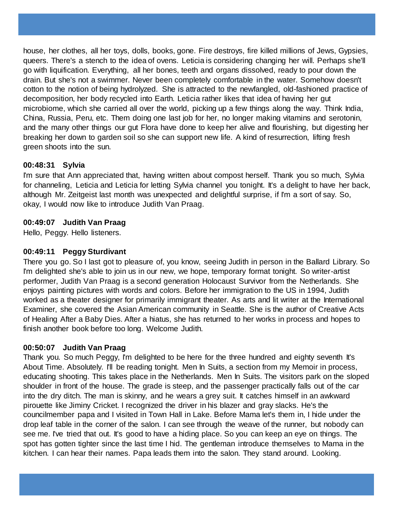house, her clothes, all her toys, dolls, books, gone. Fire destroys, fire killed millions of Jews, Gypsies, queers. There's a stench to the idea of ovens. Leticia is considering changing her will. Perhaps she'll go with liquification. Everything, all her bones, teeth and organs dissolved, ready to pour down the drain. But she's not a swimmer. Never been completely comfortable in the water. Somehow doesn't cotton to the notion of being hydrolyzed. She is attracted to the newfangled, old-fashioned practice of decomposition, her body recycled into Earth. Leticia rather likes that idea of having her gut microbiome, which she carried all over the world, picking up a few things along the way. Think India, China, Russia, Peru, etc. Them doing one last job for her, no longer making vitamins and serotonin, and the many other things our gut Flora have done to keep her alive and flourishing, but digesting her breaking her down to garden soil so she can support new life. A kind of resurrection, lifting fresh green shoots into the sun.

# **00:48:31 Sylvia**

I'm sure that Ann appreciated that, having written about compost herself. Thank you so much, Sylvia for channeling, Leticia and Leticia for letting Sylvia channel you tonight. It's a delight to have her back, although Mr. Zeitgeist last month was unexpected and delightful surprise, if I'm a sort of say. So, okay, I would now like to introduce Judith Van Praag.

### **00:49:07 Judith Van Praag**

Hello, Peggy. Hello listeners.

## **00:49:11 Peggy Sturdivant**

There you go. So I last got to pleasure of, you know, seeing Judith in person in the Ballard Library. So I'm delighted she's able to join us in our new, we hope, temporary format tonight. So writer-artist performer, Judith Van Praag is a second generation Holocaust Survivor from the Netherlands. She enjoys painting pictures with words and colors. Before her immigration to the US in 1994, Judith worked as a theater designer for primarily immigrant theater. As arts and lit writer at the International Examiner, she covered the Asian American community in Seattle. She is the author of Creative Acts of Healing After a Baby Dies. After a hiatus, she has returned to her works in process and hopes to finish another book before too long. Welcome Judith.

### **00:50:07 Judith Van Praag**

Thank you. So much Peggy, I'm delighted to be here for the three hundred and eighty seventh It's About Time. Absolutely. I'll be reading tonight. Men In Suits, a section from my Memoir in process, educating shooting. This takes place in the Netherlands. Men In Suits. The visitors park on the sloped shoulder in front of the house. The grade is steep, and the passenger practically falls out of the car into the dry ditch. The man is skinny, and he wears a grey suit. It catches himself in an awkward pirouette like Jiminy Cricket. I recognized the driver in his blazer and gray slacks. He's the councilmember papa and I visited in Town Hall in Lake. Before Mama let's them in, I hide under the drop leaf table in the corner of the salon. I can see through the weave of the runner, but nobody can see me. I've tried that out. It's good to have a hiding place. So you can keep an eye on things. The spot has gotten tighter since the last time I hid. The gentleman introduce themselves to Mama in the kitchen. I can hear their names. Papa leads them into the salon. They stand around. Looking.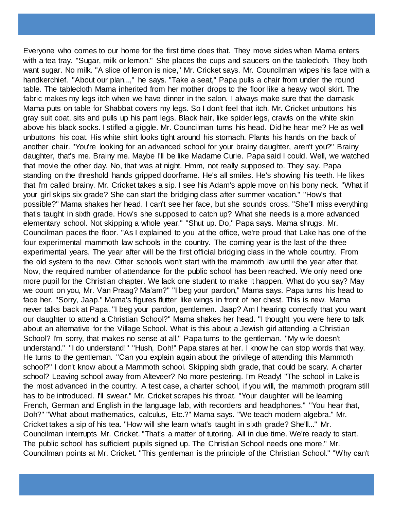Everyone who comes to our home for the first time does that. They move sides when Mama enters with a tea tray. "Sugar, milk or lemon." She places the cups and saucers on the tablecloth. They both want sugar. No milk. "A slice of lemon is nice," Mr. Cricket says. Mr. Councilman wipes his face with a handkerchief. "About our plan...," he says. "Take a seat," Papa pulls a chair from under the round table. The tablecloth Mama inherited from her mother drops to the floor like a heavy wool skirt. The fabric makes my legs itch when we have dinner in the salon. I always make sure that the damask Mama puts on table for Shabbat covers my legs. So I don't feel that itch. Mr. Cricket unbuttons his gray suit coat, sits and pulls up his pant legs. Black hair, like spider legs, crawls on the white skin above his black socks. I stifled a giggle. Mr. Councilman turns his head. Did he hear me? He as well unbuttons his coat. His white shirt looks tight around his stomach. Plants his hands on the back of another chair. "You're looking for an advanced school for your brainy daughter, aren't you?" Brainy daughter, that's me. Brainy me. Maybe I'll be like Madame Curie. Papa said I could. Well, we watched that movie the other day. No, that was at night. Hmm, not really supposed to. They say. Papa standing on the threshold hands gripped doorframe. He's all smiles. He's showing his teeth. He likes that I'm called brainy. Mr. Cricket takes a sip. I see his Adam's apple move on his bony neck. "What if your girl skips six grade? She can start the bridging class after summer vacation." "How's that possible?" Mama shakes her head. I can't see her face, but she sounds cross. "She'll miss everything that's taught in sixth grade. How's she supposed to catch up? What she needs is a more advanced elementary school. Not skipping a whole year." "Shut up. Do," Papa says. Mama shrugs. Mr. Councilman paces the floor. "As I explained to you at the office, we're proud that Lake has one of the four experimental mammoth law schools in the country. The coming year is the last of the three experimental years. The year after will be the first official bridging class in the whole country. From the old system to the new. Other schools won't start with the mammoth law until the year after that. Now, the required number of attendance for the public school has been reached. We only need one more pupil for the Christian chapter. We lack one student to make it happen. What do you say? May we count on you, Mr. Van Praag? Ma'am?" "I beg your pardon," Mama says. Papa turns his head to face her. "Sorry, Jaap." Mama's figures flutter like wings in front of her chest. This is new. Mama never talks back at Papa. "I beg your pardon, gentlemen. Jaap? Am I hearing correctly that you want our daughter to attend a Christian School?" Mama shakes her head. "I thought you were here to talk about an alternative for the Village School. What is this about a Jewish girl attending a Christian School? I'm sorry, that makes no sense at all." Papa turns to the gentleman. "My wife doesn't understand." "I do understand!" "Hush, Doh!" Papa stares at her. I know he can stop words that way. He turns to the gentleman. "Can you explain again about the privilege of attending this Mammoth school?" I don't know about a Mammoth school. Skipping sixth grade, that could be scary. A charter school? Leaving school away from Alteveer? No more pestering. I'm Ready! "The school in Lake is the most advanced in the country. A test case, a charter school, if you will, the mammoth program still has to be introduced. I'll swear." Mr. Cricket scrapes his throat. "Your daughter will be learning French, German and English in the language lab, with recorders and headphones." "You hear that, Doh?" "What about mathematics, calculus, Etc.?" Mama says. "We teach modern algebra." Mr. Cricket takes a sip of his tea. "How will she learn what's taught in sixth grade? She'll..." Mr. Councilman interrupts Mr. Cricket. "That's a matter of tutoring. All in due time. We're ready to start. The public school has sufficient pupils signed up. The Christian School needs one more." Mr. Councilman points at Mr. Cricket. "This gentleman is the principle of the Christian School." "Why can't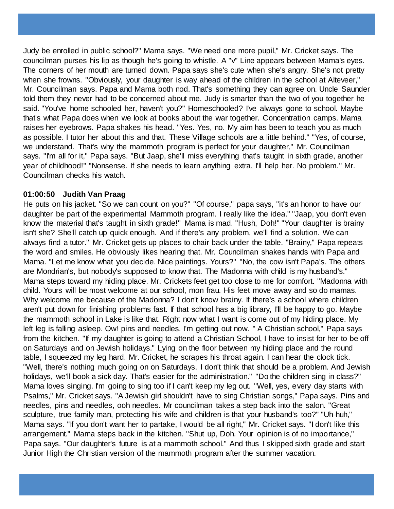Judy be enrolled in public school?" Mama says. "We need one more pupil," Mr. Cricket says. The councilman purses his lip as though he's going to whistle. A "v" Line appears between Mama's eyes. The corners of her mouth are turned down. Papa says she's cute when she's angry. She's not pretty when she frowns. "Obviously, your daughter is way ahead of the children in the school at Alteveer," Mr. Councilman says. Papa and Mama both nod. That's something they can agree on. Uncle Saunder told them they never had to be concerned about me. Judy is smarter than the two of you together he said. "You've home schooled her, haven't you?" Homeschooled? I've always gone to school. Maybe that's what Papa does when we look at books about the war together. Concentration camps. Mama raises her eyebrows. Papa shakes his head. "Yes. Yes, no. My aim has been to teach you as much as possible. I tutor her about this and that. These Village schools are a little behind." "Yes, of course, we understand. That's why the mammoth program is perfect for your daughter," Mr. Councilman says. "I'm all for it," Papa says. "But Jaap, she'll miss everything that's taught in sixth grade, another year of childhood!" "Nonsense. If she needs to learn anything extra, I'll help her. No problem." Mr. Councilman checks his watch.

#### **01:00:50 Judith Van Praag**

He puts on his jacket. "So we can count on you?" "Of course," papa says, "it's an honor to have our daughter be part of the experimental Mammoth program. I really like the idea." "Jaap, you don't even know the material that's taught in sixth grade!" Mama is mad. "Hush, Doh!" "Your daughter is brainy isn't she? She'll catch up quick enough. And if there's any problem, we'll find a solution. We can always find a tutor." Mr. Cricket gets up places to chair back under the table. "Brainy," Papa repeats the word and smiles. He obviously likes hearing that. Mr. Councilman shakes hands with Papa and Mama. "Let me know what you decide. Nice paintings. Yours?" "No, the cow isn't Papa's. The others are Mondrian's, but nobody's supposed to know that. The Madonna with child is my husband's." Mama steps toward my hiding place. Mr. Crickets feet get too close to me for comfort. "Madonna with child. Yours will be most welcome at our school, mon frau. His feet move away and so do mamas. Why welcome me because of the Madonna? I don't know brainy. If there's a school where children aren't put down for finishing problems fast. If that school has a big library, I'll be happy to go. Maybe the mammoth school in Lake is like that. Right now what I want is come out of my hiding place. My left leg is falling asleep. Ow! pins and needles. I'm getting out now. " A Christian school," Papa says from the kitchen. "If my daughter is going to attend a Christian School, I have to insist for her to be off on Saturdays and on Jewish holidays." Lying on the floor between my hiding place and the round table, I squeezed my leg hard. Mr. Cricket, he scrapes his throat again. I can hear the clock tick. "Well, there's nothing much going on on Saturdays. I don't think that should be a problem. And Jewish holidays, we'll book a sick day. That's easier for the administration." "Do the children sing in class?" Mama loves singing. I'm going to sing too if I can't keep my leg out. "Well, yes, every day starts with Psalms," Mr. Cricket says. "A Jewish girl shouldn't have to sing Christian songs," Papa says. Pins and needles, pins and needles, ooh needles. Mr councilman takes a step back into the salon. "Great sculpture, true family man, protecting his wife and children is that your husband's too?" "Uh-huh," Mama says. "If you don't want her to partake, I would be all right," Mr. Cricket says. "I don't like this arrangement." Mama steps back in the kitchen. "Shut up, Doh. Your opinion is of no importance," Papa says. "Our daughter's future is at a mammoth school." And thus I skipped sixth grade and start Junior High the Christian version of the mammoth program after the summer vacation.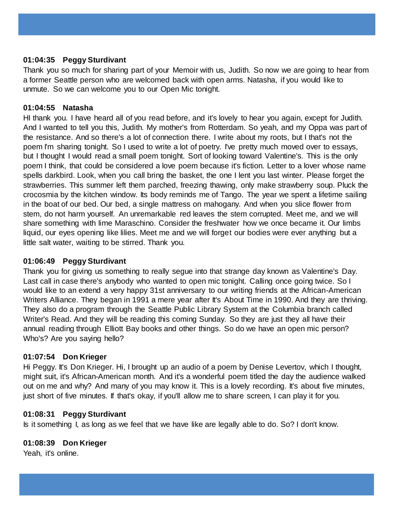## **01:04:35 Peggy Sturdivant**

Thank you so much for sharing part of your Memoir with us, Judith. So now we are going to hear from a former Seattle person who are welcomed back with open arms. Natasha, if you would like to unmute. So we can welcome you to our Open Mic tonight.

## **01:04:55 Natasha**

HI thank you. I have heard all of you read before, and it's lovely to hear you again, except for Judith. And I wanted to tell you this, Judith. My mother's from Rotterdam. So yeah, and my Oppa was part of the resistance. And so there's a lot of connection there. I write about my roots, but I that's not the poem I'm sharing tonight. So I used to write a lot of poetry. I've pretty much moved over to essays, but I thought I would read a small poem tonight. Sort of looking toward Valentine's. This is the only poem I think, that could be considered a love poem because it's fiction. Letter to a lover whose name spells darkbird. Look, when you call bring the basket, the one I lent you last winter. Please forget the strawberries. This summer left them parched, freezing thawing, only make strawberry soup. Pluck the crocosmia by the kitchen window. Its body reminds me of Tango. The year we spent a lifetime sailing in the boat of our bed. Our bed, a single mattress on mahogany. And when you slice flower from stem, do not harm yourself. An unremarkable red leaves the stem corrupted. Meet me, and we will share something with lime Maraschino. Consider the freshwater how we once became it. Our limbs liquid, our eyes opening like lilies. Meet me and we will forget our bodies were ever anything but a little salt water, waiting to be stirred. Thank you.

# **01:06:49 Peggy Sturdivant**

Thank you for giving us something to really segue into that strange day known as Valentine's Day. Last call in case there's anybody who wanted to open mic tonight. Calling once going twice. So I would like to an extend a very happy 31st anniversary to our writing friends at the African-American Writers Alliance. They began in 1991 a mere year after It's About Time in 1990. And they are thriving. They also do a program through the Seattle Public Library System at the Columbia branch called Writer's Read. And they will be reading this coming Sunday. So they are just they all have their annual reading through Elliott Bay books and other things. So do we have an open mic person? Who's? Are you saying hello?

### **01:07:54 Don Krieger**

Hi Peggy. It's Don Krieger. Hi, I brought up an audio of a poem by Denise Levertov, which I thought, might suit, it's African-American month. And it's a wonderful poem titled the day the audience walked out on me and why? And many of you may know it. This is a lovely recording. It's about five minutes, just short of five minutes. If that's okay, if you'll allow me to share screen, I can play it for you.

### **01:08:31 Peggy Sturdivant**

Is it something I, as long as we feel that we have like are legally able to do. So? I don't know.

### **01:08:39 Don Krieger**

Yeah, it's online.